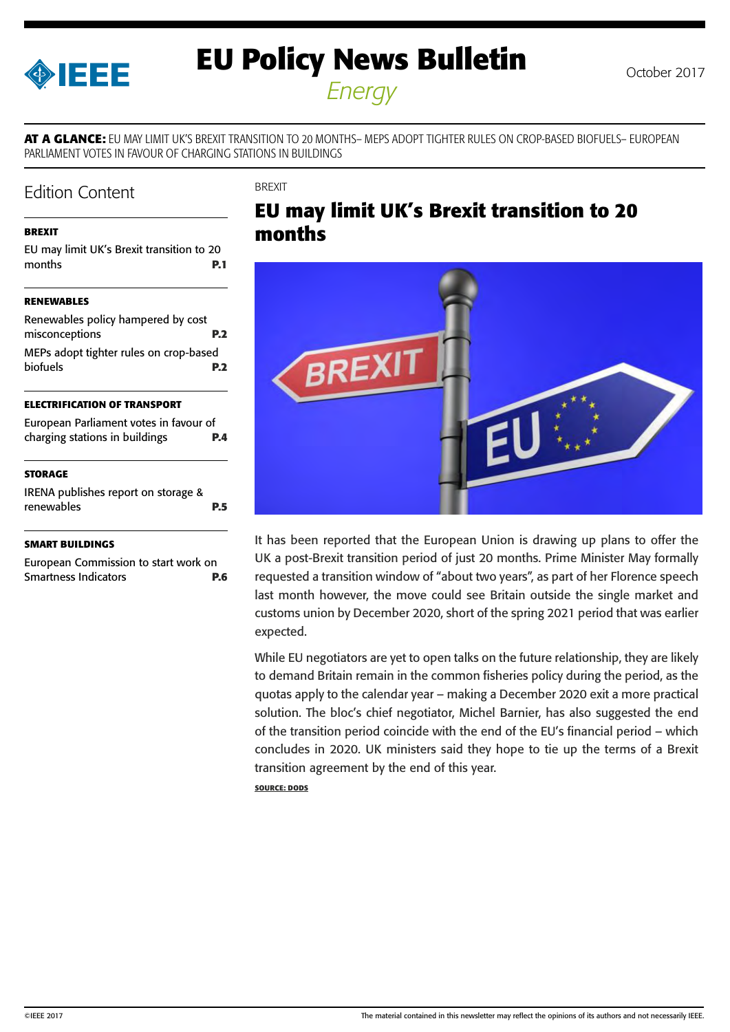<span id="page-0-0"></span>

# **EU Policy News Bulletin** October 2017

*Energy*

**AT A GLANCE:** EU MAY LIMIT UK'S BREXIT TRANSITION TO 20 MONTHS– MEPS ADOPT TIGHTER RULES ON CROP-BASED BIOFUELS– EUROPEAN PARLIAMENT VOTES IN FAVOUR OF CHARGING STATIONS IN BUILDINGS

### Edition Content

**BREXIT** 

#### **BREXIT**

EU may limit UK's Brexit transition to 20 months **P.1 [RENEWABLES](#page-1-0)** [Renewables policy hampered by cost](#page-1-0)  [misconceptions](#page-1-0) **P.2** [MEPs adopt tighter rules on crop-based](#page-1-0) 

#### **[ELECTRIFICATION OF TRANSPORT](#page-3-0)**

| European Parliament votes in favour of |            |
|----------------------------------------|------------|
| charging stations in buildings         | <b>P.4</b> |

[biofuels](#page-1-0) **P.2**

#### **[STORAGE](#page-4-0)**

[IRENA publishes report on storage &](#page-4-0)  [renewables](#page-4-0) **P.5**

#### **[SMART BUILDINGS](#page-5-0)**

[European Commission to start work on](#page-5-0)  [Smartness Indicators](#page-5-0) **P.6**

### **EU may limit UK's Brexit transition to 20 months**



It has been reported that the European Union is drawing up plans to offer the UK a post-Brexit transition period of just 20 months. Prime Minister May formally requested a transition window of "about two years", as part of her Florence speech last month however, the move could see Britain outside the single market and customs union by December 2020, short of the spring 2021 period that was earlier expected.

While EU negotiators are yet to open talks on the future relationship, they are likely to demand Britain remain in the common fisheries policy during the period, as the quotas apply to the calendar year – making a December 2020 exit a more practical solution. The bloc's chief negotiator, Michel Barnier, has also suggested the end of the transition period coincide with the end of the EU's financial period – which concludes in 2020. UK ministers said they hope to tie up the terms of a Brexit transition agreement by the end of this year.

**SOURCE: DODS**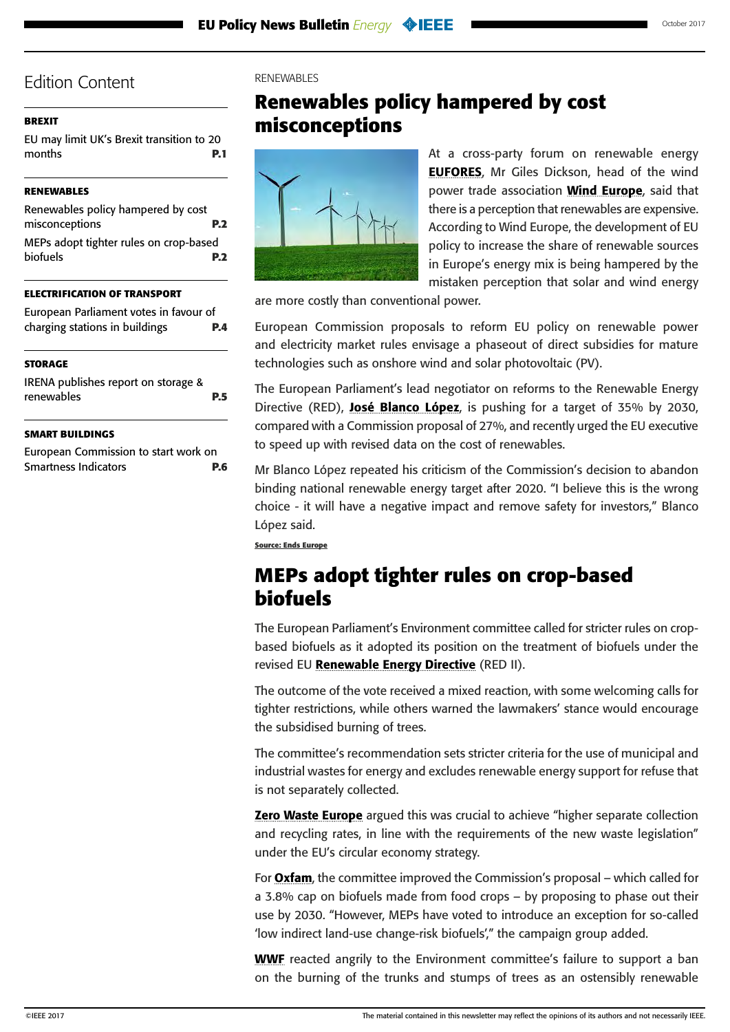#### <span id="page-1-0"></span>**[BREXIT](#page-0-0)**

[EU may limit UK's Brexit transition to 20](#page-0-0)  [months](#page-0-0) **P.1**

#### **RENEWABLES**

| Renewables policy hampered by cost     |            |
|----------------------------------------|------------|
| misconceptions                         | <b>P.2</b> |
| MEPs adopt tighter rules on crop-based |            |
| <b>biofuels</b>                        | <b>P.2</b> |

#### **[ELECTRIFICATION OF TRANSPORT](#page-3-0)**

| European Parliament votes in favour of                                                                                                                                                                                          |     |
|---------------------------------------------------------------------------------------------------------------------------------------------------------------------------------------------------------------------------------|-----|
| charging stations in buildings                                                                                                                                                                                                  | P.4 |
| <b>STORAGE</b>                                                                                                                                                                                                                  |     |
| $10.7814 \t\t 11.1$ $1.1$ $1.1$ $1.1$ $1.1$ $1.1$ $1.1$ $1.1$ $1.1$ $1.1$ $1.1$ $1.1$ $1.1$ $1.1$ $1.1$ $1.1$ $1.1$ $1.1$ $1.1$ $1.1$ $1.1$ $1.1$ $1.1$ $1.1$ $1.1$ $1.1$ $1.1$ $1.1$ $1.1$ $1.1$ $1.1$ $1.1$ $1.1$ $1.1$ $1.1$ |     |

| IRENA publishes report on storage & |            |
|-------------------------------------|------------|
| renewables                          | <b>P.5</b> |

#### **[SMART BUILDINGS](#page-5-0)**

[European Commission to start work on](#page-5-0)  [Smartness Indicators](#page-5-0) **P.6**

#### RENEWABLES

### **Renewables policy hampered by cost misconceptions**



At a cross-party forum on renewable energy [EUFORES](http://www.eufores.org/index.php?id=9), Mr Giles Dickson, head of the wind power trade association **[Wind Europe](https://windeurope.org/)**, said that there is a perception that renewables are expensive. According to Wind Europe, the development of EU policy to increase the share of renewable sources in Europe's energy mix is being hampered by the mistaken perception that solar and wind energy

are more costly than conventional power.

European Commission proposals to reform EU policy on renewable power and electricity market rules envisage a phaseout of direct subsidies for mature technologies such as onshore wind and solar photovoltaic (PV).

The European Parliament's lead negotiator on reforms to the Renewable Energy Directive (RED), [José Blanco López](http://www.europarl.europa.eu/meps/en/125044/JOSE_BLANCO%20LOPEZ_home.html), is pushing for a target of 35% by 2030, compared with a Commission proposal of 27%, and recently urged the EU executive to speed up with revised data on the cost of renewables.

Mr Blanco López repeated his criticism of the Commission's decision to abandon binding national renewable energy target after 2020. "I believe this is the wrong choice - it will have a negative impact and remove safety for investors," Blanco López said.

**Source: Ends Europe**

### **MEPs adopt tighter rules on crop-based biofuels**

The European Parliament's Environment committee called for stricter rules on cropbased biofuels as it adopted its position on the treatment of biofuels under the revised EU [Renewable Energy Directive](http://www.europarl.europa.eu/sides/getDoc.do?pubRef=-%2f%2fEP%2f%2fNONSGML%2bCOMPARL%2bPE-604.700%2b01%2bDOC%2bPDF%2bV0%2f%2fEN) (RED II).

The outcome of the vote received a mixed reaction, with some welcoming calls for tighter restrictions, while others warned the lawmakers' stance would encourage the subsidised burning of trees.

The committee's recommendation sets stricter criteria for the use of municipal and industrial wastes for energy and excludes renewable energy support for refuse that is not separately collected.

**[Zero Waste Europe](https://www.zerowasteeurope.eu/)** argued this was crucial to achieve "higher separate collection" and recycling rates, in line with the requirements of the new waste legislation" under the EU's circular economy strategy.

For [Oxfam](https://www.oxfam.org/), the committee improved the Commission's proposal – which called for a 3.8% cap on biofuels made from food crops – by proposing to phase out their use by 2030. "However, MEPs have voted to introduce an exception for so-called 'low indirect land-use change-risk biofuels'," the campaign group added.

[WWF](https://www.worldwildlife.org/) reacted angrily to the Environment committee's failure to support a ban on the burning of the trunks and stumps of trees as an ostensibly renewable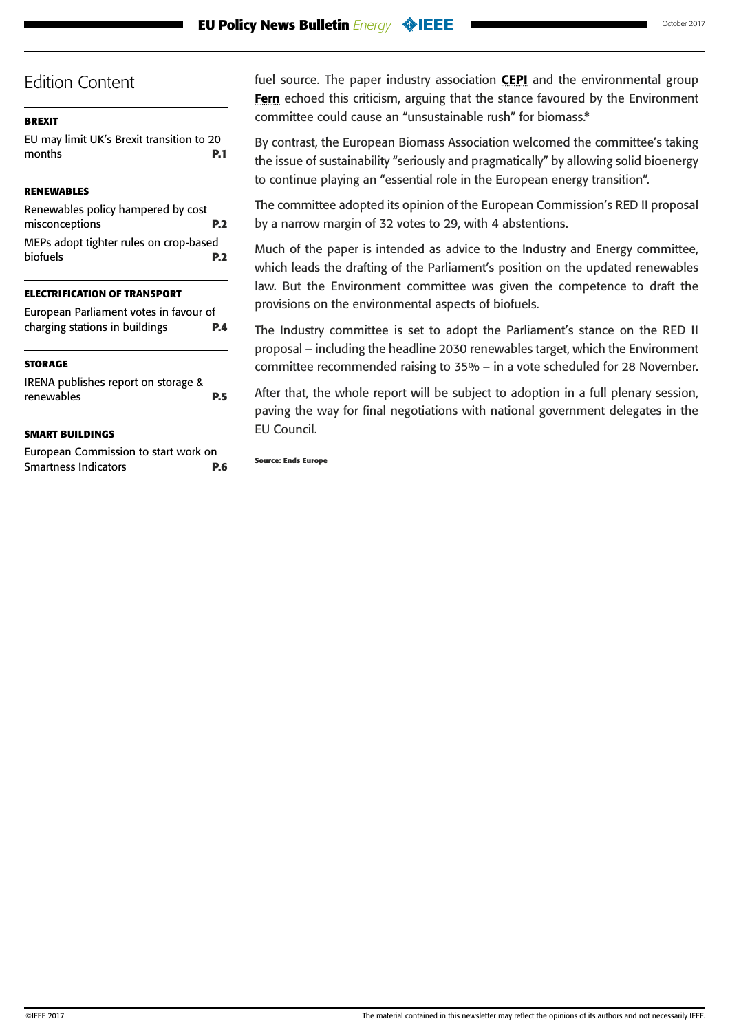#### **[BREXIT](#page-0-0)**

[EU may limit UK's Brexit transition to 20](#page-0-0)  [months](#page-0-0) **P.1**

#### **[RENEWABLES](#page-1-0)**

| Renewables policy hampered by cost     |
|----------------------------------------|
| P <sub>2</sub>                         |
| MEPs adopt tighter rules on crop-based |
| P <sub>2</sub>                         |
|                                        |

#### **[ELECTRIFICATION OF TRANSPORT](#page-3-0)**

| European Parliament votes in favour of |            |
|----------------------------------------|------------|
| charging stations in buildings         | <b>P.4</b> |

#### **[STORAGE](#page-4-0)**

| IRENA publishes report on storage & |            |
|-------------------------------------|------------|
| renewables                          | <b>P.5</b> |
|                                     |            |

#### **[SMART BUILDINGS](#page-5-0)**

[European Commission to start work on](#page-5-0)  [Smartness Indicators](#page-5-0) **P.6** fuel source. The paper industry association **[CEPI](http://www.cepi.org/)** and the environmental group [Fern](http://www.fern.org/) echoed this criticism, arguing that the stance favoured by the Environment committee could cause an "unsustainable rush" for biomass.\*

By contrast, the [European Biomass Association](http://www.aebiom.org/) welcomed the committee's taking the issue of sustainability "seriously and pragmatically" by allowing solid bioenergy to continue playing an "essential role in the European energy transition".

The committee adopted its opinion of the European Commission's RED II proposal by a narrow margin of 32 votes to 29, with 4 abstentions.

Much of the paper is intended as advice to the Industry and Energy committee, which leads the drafting of the Parliament's position on the updated renewables law. But the Environment committee was given the competence to draft the provisions on the environmental aspects of biofuels.

The Industry committee is set to adopt the Parliament's stance on the RED II proposal – including the headline 2030 renewables target, which the Environment committee recommended raising to 35% – in a vote scheduled for 28 November.

After that, the whole report will be subject to adoption in a full plenary session, paving the way for final negotiations with national government delegates in the EU Council.

#### **Source: Ends Europe**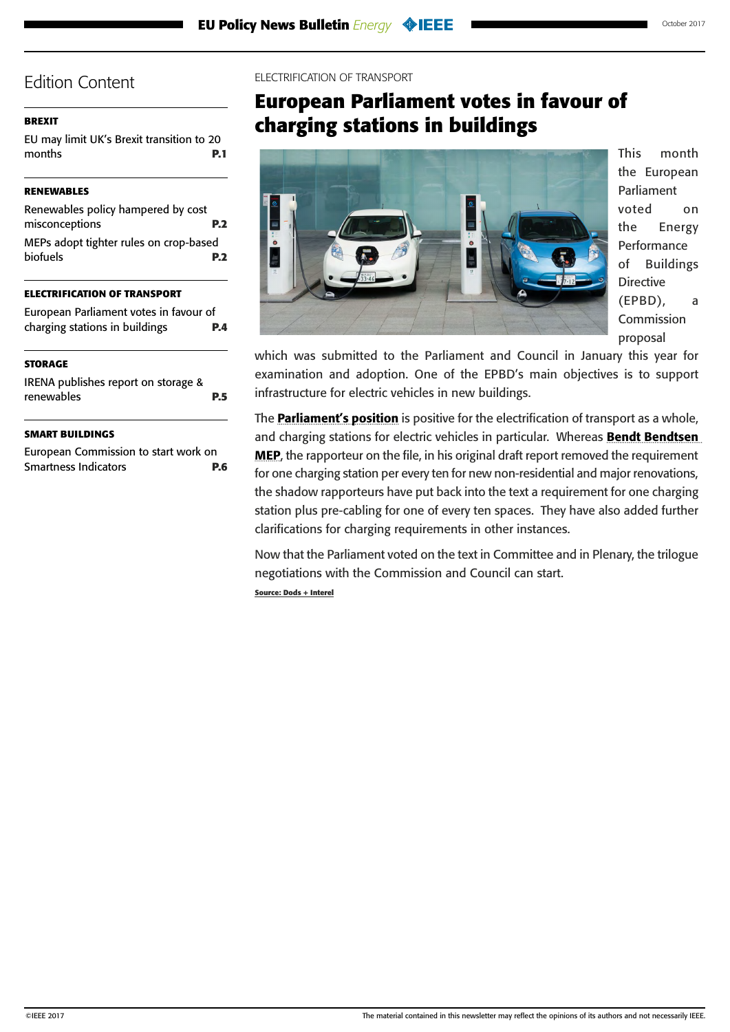#### <span id="page-3-0"></span>**[BREXIT](#page-0-0)**

[EU may limit UK's Brexit transition to 20](#page-0-0)  [months](#page-0-0) **P.1**

#### **[RENEWABLES](#page-1-0)**

| Renewables policy hampered by cost     |            |
|----------------------------------------|------------|
| misconceptions                         | <b>P.2</b> |
| MEPs adopt tighter rules on crop-based |            |
| <b>biofuels</b>                        | <b>P.2</b> |
|                                        |            |

#### **ELECTRIFICATION OF TRANSPORT**

| European Parliament votes in favour of |            |
|----------------------------------------|------------|
| charging stations in buildings         | <b>P.4</b> |

#### **[STORAGE](#page-4-0)**

| IRENA publishes report on storage & |            |
|-------------------------------------|------------|
| renewables                          | <b>P.5</b> |

#### **[SMART BUILDINGS](#page-5-0)**

[European Commission to start work on](#page-5-0)  [Smartness Indicators](#page-5-0) **P.6**

#### ELECTRIFICATION OF TRANSPORT

## **European Parliament votes in favour of charging stations in buildings**



This month the European Parliament voted on the Energy Performance of Buildings Directive (EPBD), a Commission proposal

which was submitted to the Parliament and Council in January this year for examination and adoption. One of the EPBD's main objectives is to support infrastructure for electric vehicles in new buildings.

The **[Parliament's position](http://www.europarl.europa.eu/sides/getDoc.do?pubRef=-//EP//NONSGML+REPORT+A8-2017-0314+0+DOC+PDF+V0//EN)** is positive for the electrification of transport as a whole, and charging stations for electric vehicles in particular. Whereas Bendt Bendtsen [MEP](http://www.europarl.europa.eu/meps/en/96705/BENDT_BENDTSEN_home.html), the rapporteur on the file, in his original draft report removed the requirement for one charging station per every ten for new non-residential and major renovations, the shadow rapporteurs have put back into the text a requirement for one charging station plus pre-cabling for one of every ten spaces. They have also added further clarifications for charging requirements in other instances.

Now that the Parliament voted on the text in Committee and in Plenary, the trilogue negotiations with the Commission and Council can start. **Source: Dods + Interel**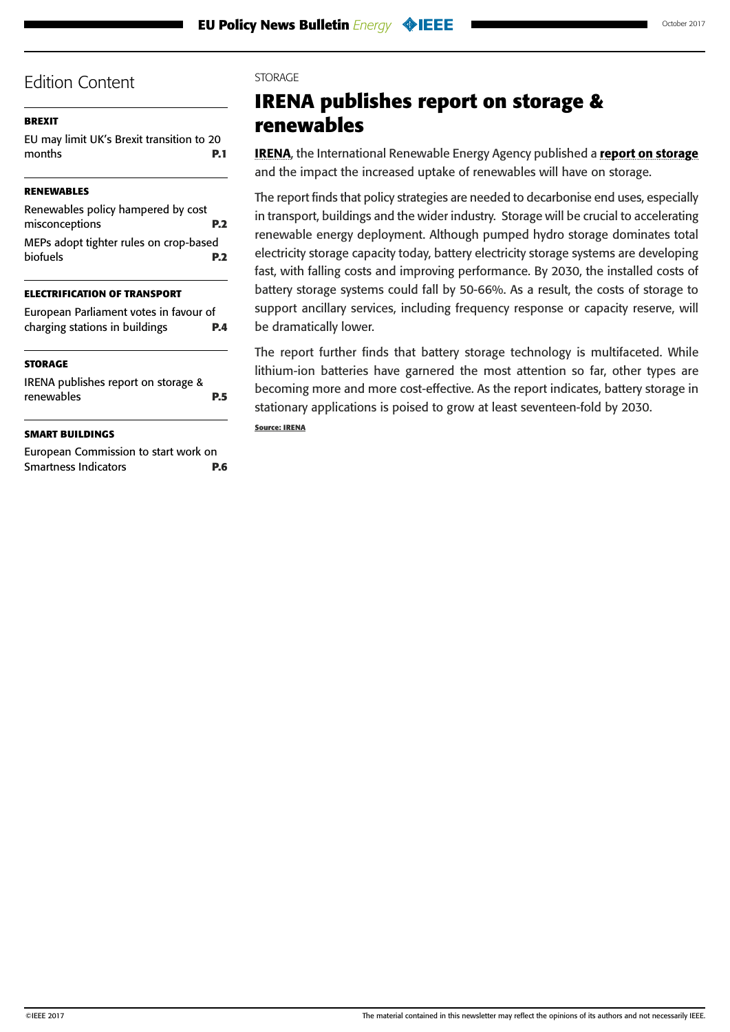#### <span id="page-4-0"></span>**[BREXIT](#page-0-0)**

[EU may limit UK's Brexit transition to 20](#page-0-0)  [months](#page-0-0) **P.1**

#### **[RENEWABLES](#page-1-0)**

| Renewables policy hampered by cost     |            |
|----------------------------------------|------------|
| misconceptions                         | <b>P.2</b> |
| MEPs adopt tighter rules on crop-based |            |
| <b>biofuels</b>                        | <b>P.2</b> |

#### **[ELECTRIFICATION OF TRANSPORT](#page-3-0)**

| European Parliament votes in favour of |            |
|----------------------------------------|------------|
| charging stations in buildings         | <b>P.4</b> |

#### **STORAGE**

IRENA publishes report on storage & renewables **P.5**

#### **[SMART BUILDINGS](#page-5-0)**

[European Commission to start work on](#page-5-0)  [Smartness Indicators](#page-5-0) **P.6**

#### **STORAGE**

# **IRENA publishes report on storage & renewables**

**[IRENA](http://www.irena.org/)**, the International Renewable Energy Agency published a [report on storage](http://www.irena.org/DocumentDownloads/Publications/IRENA_Electricity_Storage_Costs_2017.pdf) and the impact the increased uptake of renewables will have on storage.

The report finds that policy strategies are needed to decarbonise end uses, especially in transport, buildings and the wider industry. Storage will be crucial to accelerating renewable energy deployment. Although pumped hydro storage dominates total electricity storage capacity today, battery electricity storage systems are developing fast, with falling costs and improving performance. By 2030, the installed costs of battery storage systems could fall by 50-66%. As a result, the costs of storage to support ancillary services, including frequency response or capacity reserve, will be dramatically lower.

The report further finds that battery storage technology is multifaceted. While lithium-ion batteries have garnered the most attention so far, other types are becoming more and more cost-effective. As the report indicates, battery storage in stationary applications is poised to grow at least seventeen-fold by 2030.

#### **Source: IRENA**